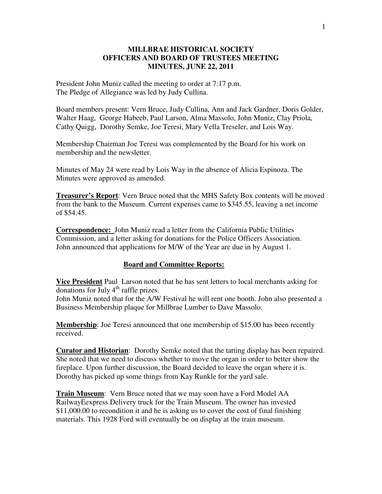## **MILLBRAE HISTORICAL SOCIETY OFFICERS AND BOARD OF TRUSTEES MEETING MINUTES, JUNE 22, 2011**

President John Muniz called the meeting to order at 7:17 p.m. The Pledge of Allegiance was led by Judy Cullina.

Board members present: Vern Bruce, Judy Cullina, Ann and Jack Gardner, Doris Golder, Walter Haag, George Habeeb, Paul Larson, Alma Massolo, John Muniz, Clay Priola, Cathy Quigg, Dorothy Semke, Joe Teresi, Mary Vella Treseler, and Lois Way.

Membership Chairman Joe Teresi was complemented by the Board for his work on membership and the newsletter.

Minutes of May 24 were read by Lois Way in the absence of Alicia Espinoza. The Minutes were approved as amended.

**Treasurer's Report**: Vern Bruce noted that the MHS Safety Box contents will be moved from the bank to the Museum. Current expenses came to \$345.55, leaving a net income of \$54.45.

**Correspondence:** John Muniz read a letter from the California Public Utilities Commission, and a letter asking for donations for the Police Officers Association. John announced that applications for M/W of the Year are due in by August 1.

## **Board and Committee Reports:**

**Vice President** Paul Larson noted that he has sent letters to local merchants asking for donations for July  $4<sup>th</sup>$  raffle prizes.

John Muniz noted that for the A/W Festival he will rent one booth. John also presented a Business Membership plaque for Millbrae Lumber to Dave Massolo.

**Membership**: Joe Teresi announced that one membership of \$15.00 has been recently received.

**Curator and Historian**: Dorothy Semke noted that the tatting display has been repaired. She noted that we need to discuss whether to move the organ in order to better show the fireplace. Upon further discussion, the Board decided to leave the organ where it is. Dorothy has picked up some things from Kay Runkle for the yard sale.

**Train Museum**: Vern Bruce noted that we may soon have a Ford Model AA RailwayEexpress Delivery truck for the Train Museum. The owner has invested \$11,000.00 to recondition it and he is asking us to cover the cost of final finishing materials. This 1928 Ford will eventually be on display at the train museum.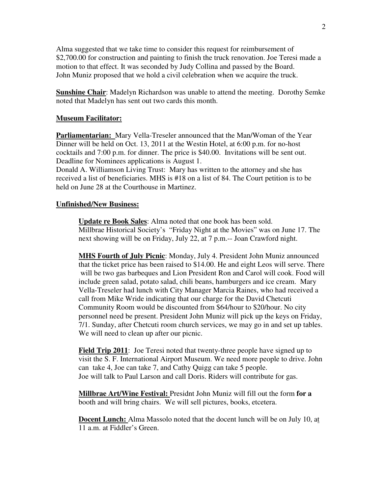Alma suggested that we take time to consider this request for reimbursement of \$2,700.00 for construction and painting to finish the truck renovation. Joe Teresi made a motion to that effect. It was seconded by Judy Collina and passed by the Board. John Muniz proposed that we hold a civil celebration when we acquire the truck.

**Sunshine Chair**: Madelyn Richardson was unable to attend the meeting. Dorothy Semke noted that Madelyn has sent out two cards this month.

## **Museum Facilitator:**

**Parliamentarian:** Mary Vella-Treseler announced that the Man/Woman of the Year Dinner will be held on Oct. 13, 2011 at the Westin Hotel, at 6:00 p.m. for no-host cocktails and 7:00 p.m. for dinner. The price is \$40.00. Invitations will be sent out. Deadline for Nominees applications is August 1.

Donald A. Williamson Living Trust: Mary has written to the attorney and she has received a list of beneficiaries. MHS is #18 on a list of 84. The Court petition is to be held on June 28 at the Courthouse in Martinez.

## **Unfinished/New Business:**

**Update re Book Sales**: Alma noted that one book has been sold. Millbrae Historical Society's "Friday Night at the Movies" was on June 17. The next showing will be on Friday, July 22, at 7 p.m.-- Joan Crawford night.

**MHS Fourth of July Picnic**: Monday, July 4. President John Muniz announced that the ticket price has been raised to \$14.00. He and eight Leos will serve. There will be two gas barbeques and Lion President Ron and Carol will cook. Food will include green salad, potato salad, chili beans, hamburgers and ice cream. Mary Vella-Treseler had lunch with City Manager Marcia Raines, who had received a call from Mike Wride indicating that our charge for the David Chetcuti Community Room would be discounted from \$64/hour to \$20/hour. No city personnel need be present. President John Muniz will pick up the keys on Friday, 7/1. Sunday, after Chetcuti room church services, we may go in and set up tables. We will need to clean up after our picnic.

 **Field Trip 2011**: Joe Teresi noted that twenty-three people have signed up to visit the S. F. International Airport Museum. We need more people to drive. John can take 4, Joe can take 7, and Cathy Quigg can take 5 people. Joe will talk to Paul Larson and call Doris. Riders will contribute for gas.

**Millbrae Art/Wine Festival:** Presidnt John Muniz will fill out the form **for a**  booth and will bring chairs. We will sell pictures, books, etcetera.

**Docent Lunch:** Alma Massolo noted that the docent lunch will be on July 10, at 11 a.m. at Fiddler's Green.